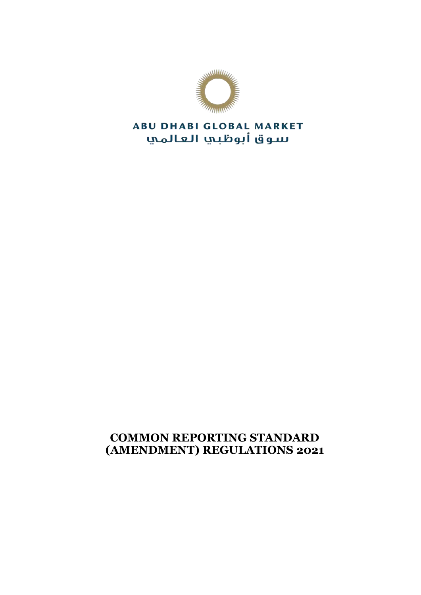

# **ABU DHABI GLOBAL MARKET** سوق أبوظبي العالمي

# **COMMON REPORTING STANDARD (AMENDMENT) REGULATIONS 2021**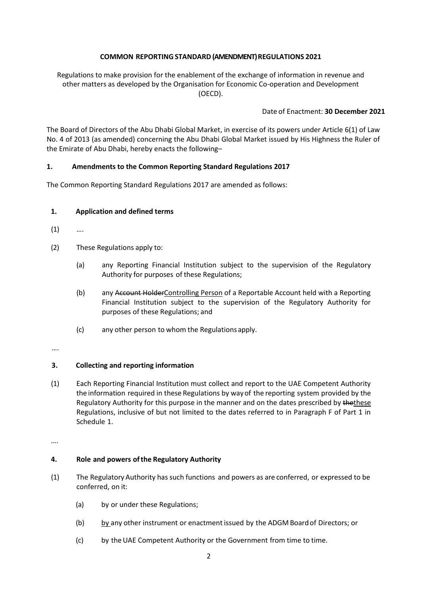# **COMMON REPORTINGSTANDARD(AMENDMENT) REGULATIONS 2021**

Regulations to make provision for the enablement of the exchange of information in revenue and other matters as developed by the Organisation for Economic Co-operation and Development (OECD).

### Date of Enactment: **30 December 2021**

The Board of Directors of the Abu Dhabi Global Market, in exercise of its powers under Article 6(1) of Law No. 4 of 2013 (as amended) concerning the Abu Dhabi Global Market issued by His Highness the Ruler of the Emirate of Abu Dhabi, hereby enacts the following–

# **1. Amendments to the Common Reporting Standard Regulations 2017**

The Common Reporting Standard Regulations 2017 are amended as follows:

### **1. Application and defined terms**

- $(1)$  ...
- (2) These Regulations apply to:
	- (a) any Reporting Financial Institution subject to the supervision of the Regulatory Authority for purposes of these Regulations;
	- (b) any Account HolderControlling Person of a Reportable Account held with a Reporting Financial Institution subject to the supervision of the Regulatory Authority for purposes of these Regulations; and
	- (c) any other person to whom the Regulationsapply.

#### ….

# **3. Collecting and reporting information**

(1) Each Reporting Financial Institution must collect and report to the UAE Competent Authority the information required in these Regulations by wayof the reporting system provided by the Regulatory Authority for this purpose in the manner and on the dates prescribed by thethese Regulations, inclusive of but not limited to the dates referred to in Paragraph F of Part 1 in Schedule 1.

….

#### **4. Role and powers ofthe Regulatory Authority**

- (1) The Regulatory Authority hassuch functions and powers as are conferred, or expressed to be conferred, on it:
	- (a) by or under these Regulations;
	- (b) by any other instrument or enactment issued by the ADGM Boardof Directors; or
	- (c) by theUAE Competent Authority or the Government from time to time.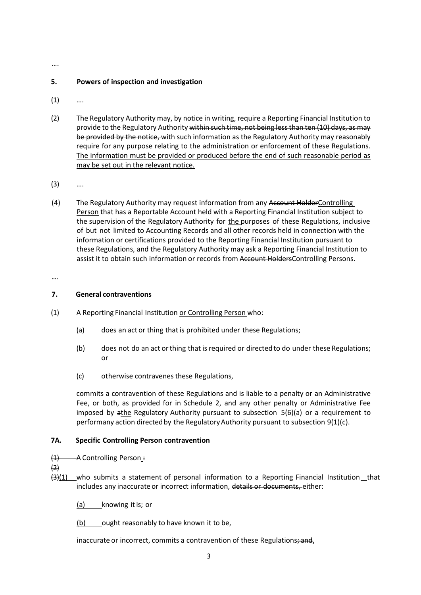#### ….

#### **5. Powers of inspection and investigation**

- $(1)$  ...
- (2) The Regulatory Authority may, by notice in writing, require a Reporting Financial Institution to provide to the Regulatory Authority within such time, not being less than ten (10) days, as may be provided by the notice, with such information as the Regulatory Authority may reasonably require for any purpose relating to the administration or enforcement of these Regulations. The information must be provided or produced before the end of such reasonable period as may be set out in the relevant notice.
- (3) ….
- (4) The Regulatory Authority may request information from any Account HolderControlling Person that has a Reportable Account held with a Reporting Financial Institution subject to the supervision of the Regulatory Authority for the purposes of these Regulations, inclusive of but not limited to Accounting Records and all other records held in connection with the information or certifications provided to the Reporting Financial Institution pursuant to these Regulations, and the Regulatory Authority may ask a Reporting Financial Institution to assist it to obtain such information or records from Account Holders Controlling Persons.

**….**

#### **7. General contraventions**

- (1) A Reporting Financial Institution or Controlling Person who:
	- (a) does an act or thing that is prohibited under these Regulations;
	- (b) does not do an act orthing that is required or directedto do under these Regulations; or
	- (c) otherwise contravenesthese Regulations,

commits a contravention of these Regulations and is liable to a penalty or an Administrative Fee, or both, as provided for in Schedule 2, and any other penalty or Administrative Fee imposed by athe Regulatory Authority pursuant to subsection 5(6)(a) or a requirement to performany action directed by the Regulatory Authority pursuant to subsection  $9(1)(c)$ .

#### **7A. Specific Controlling Person contravention**

 $(1)$  - A Controlling Person:

 $(2)$ 

- $\frac{13}{1}$  who submits a statement of personal information to a Reporting Financial Institution that includes any inaccurate or incorrect information, details or documents, either:
	- (a) knowing itis; or

(b) ought reasonably to have known it to be,

inaccurate or incorrect, commits a contravention of these Regulations; and.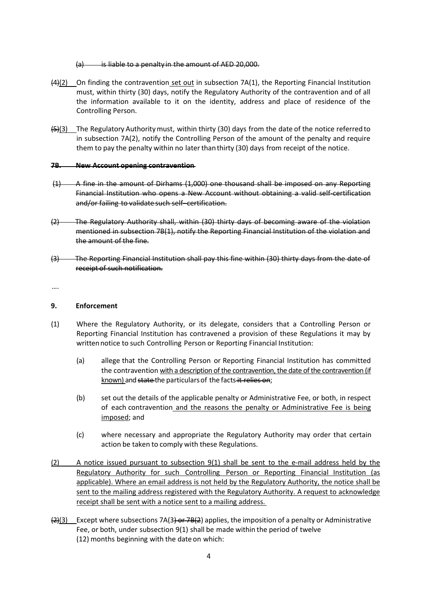$(a)$  is liable to a penalty in the amount of AED 20,000.

- $(44)(2)$  On finding the contravention set out in subsection 7A(1), the Reporting Financial Institution must, within thirty (30) days, notify the Regulatory Authority of the contravention and of all the information available to it on the identity, address and place of residence of the Controlling Person.
- (5)(3) The Regulatory Authoritymust, within thirty (30) days from the date of the notice referredto in subsection 7A(2), notify the Controlling Person of the amount of the penalty and require them to pay the penalty within no laterthanthirty (30) days from receipt of the notice.

#### **7B. New Account opening contravention**

- (1) A fine in the amount of Dirhams (1,000) one thousand shall be imposed on any Reporting Financial Institution who opens a New Account without obtaining a valid self-certification and/or failing to validate such self–certification.
- (2) The Regulatory Authority shall, within (30) thirty days of becoming aware of the violation mentioned in subsection 7B(1), notify the Reporting Financial Institution of the violation and the amount of the fine.
- (3) The Reporting Financial Institution shall pay this fine within (30) thirty days from the date of receipt of such notification.

….

#### **9. Enforcement**

- (1) Where the Regulatory Authority, or its delegate, considers that a Controlling Person or Reporting Financial Institution has contravened a provision of these Regulations it may by written notice to such Controlling Person or Reporting Financial Institution:
	- (a) allege that the Controlling Person or Reporting Financial Institution has committed the contravention with a description of the contravention, the date of the contravention (if known) and state the particulars of the facts-it relies on;
	- (b) set out the details of the applicable penalty or Administrative Fee, or both, in respect of each contravention and the reasons the penalty or Administrative Fee is being imposed; and
	- (c) where necessary and appropriate the Regulatory Authority may order that certain action be taken to comply with these Regulations.
- (2) A notice issued pursuant to subsection 9(1) shall be sent to the e-mail address held by the Regulatory Authority for such Controlling Person or Reporting Financial Institution (as applicable). Where an email address is not held by the Regulatory Authority, the notice shall be sent to the mailing address registered with the Regulatory Authority. A request to acknowledge receipt shall be sent with a notice sent to a mailing address.
- (2)(3) Except where subsections 7A(3) or 7B(2) applies, the imposition of a penalty or Administrative Fee, or both, under subsection 9(1) shall be made within the period of twelve (12) months beginning with the date on which: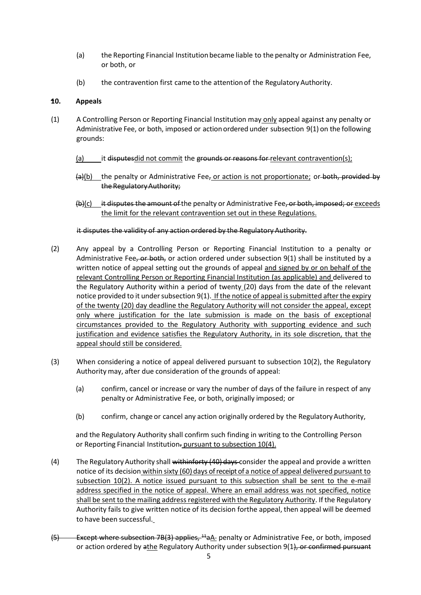- (a) the Reporting Financial Institutionbecame liable to the penalty or Administration Fee, or both, or
- (b) the contravention first came to the attentionof the RegulatoryAuthority.

#### **10. Appeals**

- (1) A Controlling Person or Reporting Financial Institution may only appeal against any penalty or Administrative Fee, or both, imposed or actionordered under subsection 9(1) on the following grounds:
	- (a) it disputesdid not commit the grounds or reasons for relevant contravention(s);
	- $(a)(b)$  the penalty or Administrative Fee<sub>z</sub> or action is not proportionate; or both, provided by the RegulatoryAuthority;
	- $(b)(c)$  it disputes the amount of the penalty or Administrative Fee, or both, imposed; or exceeds the limit for the relevant contravention set out in these Regulations.

#### it disputes the validity of any action ordered by the Regulatory Authority.

- (2) Any appeal by a Controlling Person or Reporting Financial Institution to a penalty or Administrative Fee, or both, or action ordered under subsection  $9(1)$  shall be instituted by a written notice of appeal setting out the grounds of appeal and signed by or on behalf of the relevant Controlling Person or Reporting Financial Institution (as applicable) and delivered to the Regulatory Authority within a period of twenty (20) days from the date of the relevant notice provided to it under subsection  $9(1)$ . If the notice of appeal is submitted after the expiry of the twenty (20) day deadline the Regulatory Authority will not consider the appeal, except only where justification for the late submission is made on the basis of exceptional circumstances provided to the Regulatory Authority with supporting evidence and such justification and evidence satisfies the Regulatory Authority, in its sole discretion, that the appeal should still be considered.
- (3) When considering a notice of appeal delivered pursuant to subsection 10(2), the Regulatory Authority may, after due consideration of the grounds of appeal:
	- (a) confirm, cancel or increase or vary the number of days of the failure in respect of any penalty or Administrative Fee, or both, originally imposed; or
	- (b) confirm, change or cancel any action originally ordered by the RegulatoryAuthority,

and the Regulatory Authority shall confirm such finding in writing to the Controlling Person or Reporting Financial Institution- pursuant to subsection 10(4).

- (4) The Regulatory Authority shall withinforty  $(40)$  days-consider the appeal and provide a written notice of its decision within sixty (60) days of receipt of a notice of appeal delivered pursuant to subsection 10(2). A notice issued pursuant to this subsection shall be sent to the e-mail address specified in the notice of appeal. Where an email address was not specified, notice shall be sent to the mailing address registered with the Regulatory Authority. If the Regulatory Authority fails to give written notice of its decision forthe appeal, then appeal will be deemed to have been successful.
- (5) Except where subsection 7B(3) applies, <sup>11</sup>aA penalty or Administrative Fee, or both, imposed or action ordered by athe Regulatory Authority under subsection 9(1), or confirmed pursuant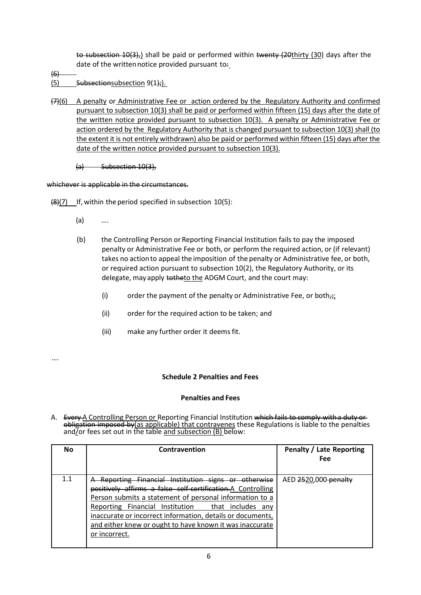to subsection 10(3), shall be paid or performed within twenty (20thirty (30) days after the date of the written notice provided pursuant to:

- $(6)$
- (5) Subsectionsubsection  $9(1)$ ;
- (7)(6) A penalty or Administrative Fee or action ordered by the Regulatory Authority and confirmed pursuant to subsection 10(3) shall be paid or performed within fifteen (15) days after the date of the written notice provided pursuant to subsection 10(3). A penalty or Administrative Fee or action ordered by the Regulatory Authority that is changed pursuant to subsection 10(3) shall (to the extent it is not entirely withdrawn) also be paid or performed within fifteen (15) days after the date of the written notice provided pursuant to subsection 10(3).

 $(a)$  Subsection 10(3),

whichever is applicable in the circumstances.

 $(8)(7)$  If, within the period specified in subsection 10(5):

- (a) ….
- (b) the Controlling Person or Reporting Financial Institution fails to pay the imposed penalty or Administrative Fee or both, or perform the required action, or (if relevant) takes no actionto appeal the imposition of the penalty or Administrative fee, or both, or required action pursuant to subsection 10(2), the Regulatory Authority, or its delegate, may apply to the ADGM Court, and the court may:
	- (i) order the payment of the penalty or Administrative Fee, or both $\frac{1}{10}$ ;
	- (ii) order for the required action to be taken; and
	- (iii) make any further order it deems fit.

….

# **Schedule 2 Penalties and Fees**

#### **Penalties and Fees**

A. Every A Controlling Person or Reporting Financial Institution which fails to comply with a duty or obligation imposed by(as applicable) that contravenes these Regulations is liable to the penalties and<u>/</u>or fees set out in the table <u>and subsection (B) </u>below:

| No  | Contravention                                                                                                                                                                                                                                                                                                                                                                   | Penalty / Late Reporting<br>Fee |
|-----|---------------------------------------------------------------------------------------------------------------------------------------------------------------------------------------------------------------------------------------------------------------------------------------------------------------------------------------------------------------------------------|---------------------------------|
| 1.1 | Reporting Financial Institution signs or otherwise<br>positively affirms a false self-certification.A Controlling<br>Person submits a statement of personal information to a<br>Reporting Financial Institution that includes<br>anv<br>inaccurate or incorrect information, details or documents,<br>and either knew or ought to have known it was inaccurate<br>or incorrect. | AED 2520,000 penalty            |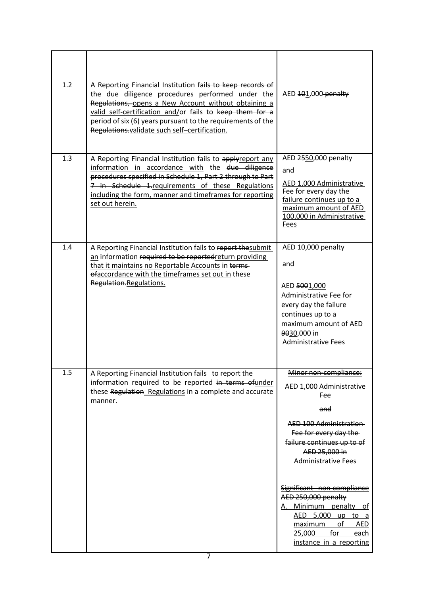| 1.2 | A Reporting Financial Institution fails to keep records of<br>the due diligence procedures performed under the<br>Regulations, opens a New Account without obtaining a<br>valid self-certification and/or fails to keep them for a<br>period of six (6) years pursuant to the requirements of the<br>Regulations validate such self-certification. | AED 101,000 penalty                                                                                                                                                                                                                                                                                                                                                                                           |
|-----|----------------------------------------------------------------------------------------------------------------------------------------------------------------------------------------------------------------------------------------------------------------------------------------------------------------------------------------------------|---------------------------------------------------------------------------------------------------------------------------------------------------------------------------------------------------------------------------------------------------------------------------------------------------------------------------------------------------------------------------------------------------------------|
| 1.3 | A Reporting Financial Institution fails to applyreport any<br>information in accordance with the due diligence<br>procedures specified in Schedule 1, Part 2 through to Part<br>7 in Schedule 1-requirements of these Regulations<br>including the form, manner and timeframes for reporting<br>set out herein.                                    | AED 2550,000 penalty<br>and<br>AED 1,000 Administrative<br>Fee for every day the<br>failure continues up to a<br>maximum amount of AED<br>100,000 in Administrative<br>Fees                                                                                                                                                                                                                                   |
| 1.4 | A Reporting Financial Institution fails to report thesubmit<br>an information required to be reportedreturn providing<br>that it maintains no Reportable Accounts in terms-<br>efaccordance with the timeframes set out in these<br>Regulation.Regulations.                                                                                        | AED 10,000 penalty<br>and<br>AED 5001,000<br>Administrative Fee for<br>every day the failure<br>continues up to a<br>maximum amount of AED<br>9030,000 in<br><b>Administrative Fees</b>                                                                                                                                                                                                                       |
| 1.5 | A Reporting Financial Institution fails to report the<br>information required to be reported in terms ofunder<br>these Regulation Regulations in a complete and accurate<br>manner.                                                                                                                                                                | Minor non-compliance:<br>AED 1,000 Administrative<br><b>Fee</b><br>and<br><b>AED 100 Administration</b><br>Fee for every day the<br>failure continues up to of<br>AED 25,000 in<br><b>Administrative Fees</b><br>Significant non-compliance<br>AED 250,000 penalty<br>A. Minimum penalty of<br>AED 5,000 up to<br>a<br>maximum<br>of<br><b>AED</b><br>for<br>25,000<br><u>each</u><br>instance in a reporting |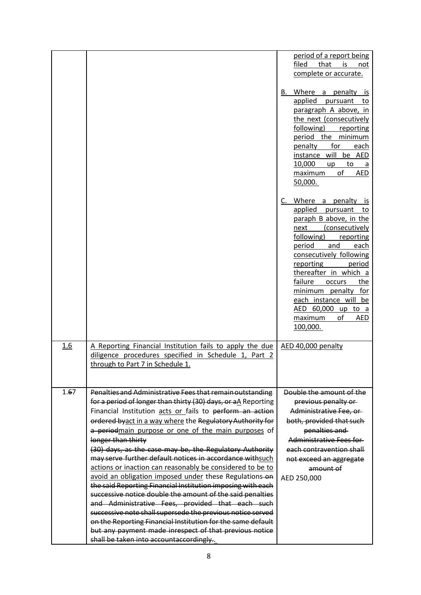|      |                                                                                                                                                                                                                                                                                                                                                                                                                                                                                                                                                                                                                                                                                                                                                                                                                                                                                                                                                                                                  | period of a report being<br>filed<br>that<br>is<br>not<br>complete or accurate.                                                                                                                                                                                                                                                                                     |
|------|--------------------------------------------------------------------------------------------------------------------------------------------------------------------------------------------------------------------------------------------------------------------------------------------------------------------------------------------------------------------------------------------------------------------------------------------------------------------------------------------------------------------------------------------------------------------------------------------------------------------------------------------------------------------------------------------------------------------------------------------------------------------------------------------------------------------------------------------------------------------------------------------------------------------------------------------------------------------------------------------------|---------------------------------------------------------------------------------------------------------------------------------------------------------------------------------------------------------------------------------------------------------------------------------------------------------------------------------------------------------------------|
|      |                                                                                                                                                                                                                                                                                                                                                                                                                                                                                                                                                                                                                                                                                                                                                                                                                                                                                                                                                                                                  | B. Where a penalty is<br>applied pursuant to<br>paragraph A above, in<br>the next (consecutively<br>following) reporting<br>period the minimum<br>penalty for<br>each<br>instance will be AED<br>10,000<br>$up$ to a<br>of<br>maximum<br><b>AED</b><br>50,000.                                                                                                      |
|      |                                                                                                                                                                                                                                                                                                                                                                                                                                                                                                                                                                                                                                                                                                                                                                                                                                                                                                                                                                                                  | C. Where a penalty is<br>applied pursuant to<br>paraph B above, in the<br>(consecutively<br>next<br>following)<br>reporting<br>period and<br>each<br>consecutively following<br>reporting<br>period<br>thereafter in which a<br>failure occurs<br>the<br>minimum penalty for<br>each instance will be<br>AED 60,000 up to a<br>maximum of<br><b>AED</b><br>100,000. |
| 1.6  | A Reporting Financial Institution fails to apply the due<br>diligence procedures specified in Schedule 1, Part 2<br>through to Part 7 in Schedule 1.                                                                                                                                                                                                                                                                                                                                                                                                                                                                                                                                                                                                                                                                                                                                                                                                                                             | AED 40,000 penalty                                                                                                                                                                                                                                                                                                                                                  |
| 1.67 | Penalties and Administrative Fees that remain outstanding<br>for a period of longer than thirty (30) days, or aA Reporting<br>Financial Institution acts or fails to perform an action<br>ordered byact in a way where the Regulatory Authority for<br>a periodmain purpose or one of the main purposes of<br>longer than thirty<br>(30) days, as the case may be, the Regulatory Authority<br>may serve further default notices in accordance withsuch<br>actions or inaction can reasonably be considered to be to<br>avoid an obligation imposed under these Regulations-on<br>the said Reporting Financial Institution imposing with each<br>successive notice double the amount of the said penalties<br>and Administrative Fees, provided that each such<br>successive note shall supersede the previous notice served<br>on the Reporting Financial Institution for the same default<br>but any payment made inrespect of that previous notice<br>shall be taken into accountaccordingly. | Double the amount of the<br>previous penalty or<br>Administrative Fee, or<br>both, provided that such<br>penalties and<br>Administrative Fees for<br>each contravention shall<br>not exceed an aggregate<br>amount of<br>AED 250,000                                                                                                                                |